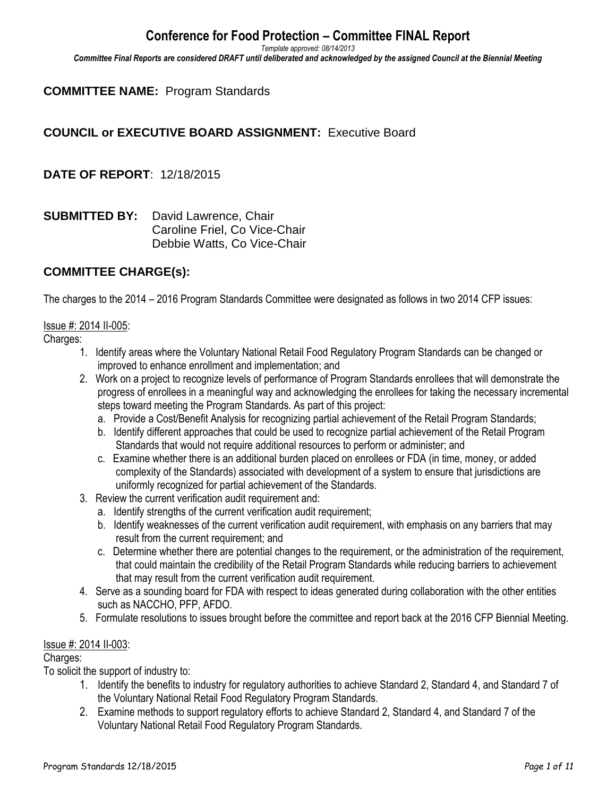*Template approved: 08/14/2013*

*Committee Final Reports are considered DRAFT until deliberated and acknowledged by the assigned Council at the Biennial Meeting*

#### **COMMITTEE NAME:** Program Standards

### **COUNCIL or EXECUTIVE BOARD ASSIGNMENT:** Executive Board

**DATE OF REPORT**: 12/18/2015

**SUBMITTED BY:** David Lawrence, Chair Caroline Friel, Co Vice-Chair Debbie Watts, Co Vice-Chair

#### **COMMITTEE CHARGE(s):**

The charges to the 2014 – 2016 Program Standards Committee were designated as follows in two 2014 CFP issues:

#### Issue #: 2014 II-005:

Charges:

- 1. Identify areas where the Voluntary National Retail Food Regulatory Program Standards can be changed or improved to enhance enrollment and implementation; and
- 2. Work on a project to recognize levels of performance of Program Standards enrollees that will demonstrate the progress of enrollees in a meaningful way and acknowledging the enrollees for taking the necessary incremental steps toward meeting the Program Standards. As part of this project:
	- a. Provide a Cost/Benefit Analysis for recognizing partial achievement of the Retail Program Standards;
	- b. Identify different approaches that could be used to recognize partial achievement of the Retail Program Standards that would not require additional resources to perform or administer; and
	- c. Examine whether there is an additional burden placed on enrollees or FDA (in time, money, or added complexity of the Standards) associated with development of a system to ensure that jurisdictions are uniformly recognized for partial achievement of the Standards.
- 3. Review the current verification audit requirement and:
	- a. Identify strengths of the current verification audit requirement;
	- b. Identify weaknesses of the current verification audit requirement, with emphasis on any barriers that may result from the current requirement; and
	- c.Determine whether there are potential changes to the requirement, or the administration of the requirement, that could maintain the credibility of the Retail Program Standards while reducing barriers to achievement that may result from the current verification audit requirement.
- 4. Serve as a sounding board for FDA with respect to ideas generated during collaboration with the other entities such as NACCHO, PFP, AFDO.
- 5. Formulate resolutions to issues brought before the committee and report back at the 2016 CFP Biennial Meeting.

#### Issue #: 2014 II-003:

#### Charges:

To solicit the support of industry to:

- 1. Identify the benefits to industry for regulatory authorities to achieve Standard 2, Standard 4, and Standard 7 of the Voluntary National Retail Food Regulatory Program Standards.
- 2. Examine methods to support regulatory efforts to achieve Standard 2, Standard 4, and Standard 7 of the Voluntary National Retail Food Regulatory Program Standards.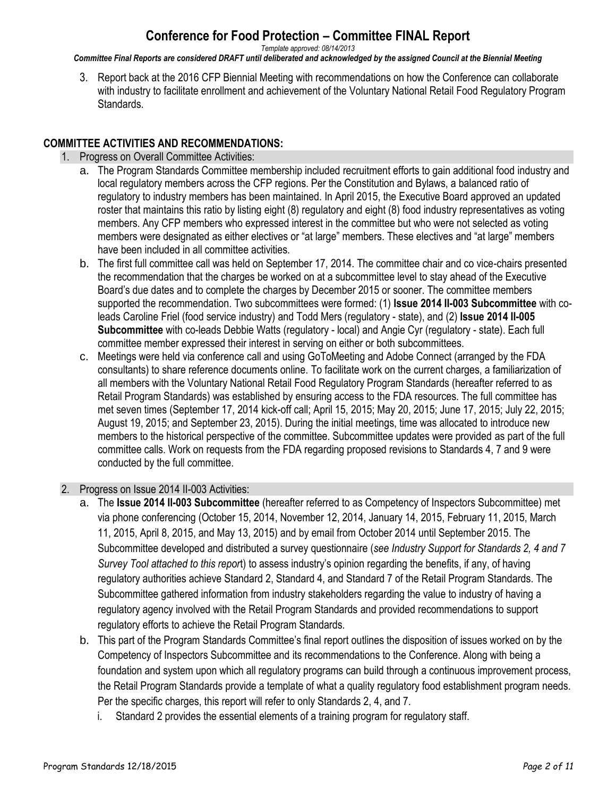*Template approved: 08/14/2013*

*Committee Final Reports are considered DRAFT until deliberated and acknowledged by the assigned Council at the Biennial Meeting*

3. Report back at the 2016 CFP Biennial Meeting with recommendations on how the Conference can collaborate with industry to facilitate enrollment and achievement of the Voluntary National Retail Food Regulatory Program Standards.

#### **COMMITTEE ACTIVITIES AND RECOMMENDATIONS:**

- 1. Progress on Overall Committee Activities:
	- a. The Program Standards Committee membership included recruitment efforts to gain additional food industry and local regulatory members across the CFP regions. Per the Constitution and Bylaws, a balanced ratio of regulatory to industry members has been maintained. In April 2015, the Executive Board approved an updated roster that maintains this ratio by listing eight (8) regulatory and eight (8) food industry representatives as voting members. Any CFP members who expressed interest in the committee but who were not selected as voting members were designated as either electives or "at large" members. These electives and "at large" members have been included in all committee activities.
	- b. The first full committee call was held on September 17, 2014. The committee chair and co vice-chairs presented the recommendation that the charges be worked on at a subcommittee level to stay ahead of the Executive Board's due dates and to complete the charges by December 2015 or sooner. The committee members supported the recommendation. Two subcommittees were formed: (1) **Issue 2014 II-003 Subcommittee** with coleads Caroline Friel (food service industry) and Todd Mers (regulatory - state), and (2) **Issue 2014 II-005 Subcommittee** with co-leads Debbie Watts (regulatory - local) and Angie Cyr (regulatory - state). Each full committee member expressed their interest in serving on either or both subcommittees.
	- c. Meetings were held via conference call and using GoToMeeting and Adobe Connect (arranged by the FDA consultants) to share reference documents online. To facilitate work on the current charges, a familiarization of all members with the Voluntary National Retail Food Regulatory Program Standards (hereafter referred to as Retail Program Standards) was established by ensuring access to the FDA resources. The full committee has met seven times (September 17, 2014 kick-off call; April 15, 2015; May 20, 2015; June 17, 2015; July 22, 2015; August 19, 2015; and September 23, 2015). During the initial meetings, time was allocated to introduce new members to the historical perspective of the committee. Subcommittee updates were provided as part of the full committee calls. Work on requests from the FDA regarding proposed revisions to Standards 4, 7 and 9 were conducted by the full committee.

#### 2. Progress on Issue 2014 II-003 Activities:

- a. The **Issue 2014 II-003 Subcommittee** (hereafter referred to as Competency of Inspectors Subcommittee) met via phone conferencing (October 15, 2014, November 12, 2014, January 14, 2015, February 11, 2015, March 11, 2015, April 8, 2015, and May 13, 2015) and by email from October 2014 until September 2015. The Subcommittee developed and distributed a survey questionnaire (*see Industry Support for Standards 2, 4 and 7 Survey Tool attached to this repor*t) to assess industry's opinion regarding the benefits, if any, of having regulatory authorities achieve Standard 2, Standard 4, and Standard 7 of the Retail Program Standards. The Subcommittee gathered information from industry stakeholders regarding the value to industry of having a regulatory agency involved with the Retail Program Standards and provided recommendations to support regulatory efforts to achieve the Retail Program Standards.
- b. This part of the Program Standards Committee's final report outlines the disposition of issues worked on by the Competency of Inspectors Subcommittee and its recommendations to the Conference. Along with being a foundation and system upon which all regulatory programs can build through a continuous improvement process, the Retail Program Standards provide a template of what a quality regulatory food establishment program needs. Per the specific charges, this report will refer to only Standards 2, 4, and 7.
	- i. Standard 2 provides the essential elements of a training program for regulatory staff.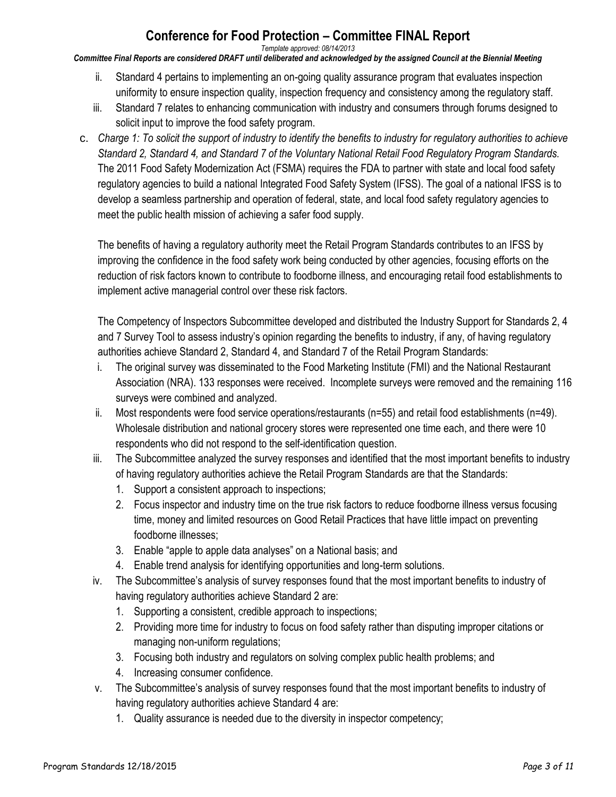*Template approved: 08/14/2013*

*Committee Final Reports are considered DRAFT until deliberated and acknowledged by the assigned Council at the Biennial Meeting*

- ii. Standard 4 pertains to implementing an on-going quality assurance program that evaluates inspection uniformity to ensure inspection quality, inspection frequency and consistency among the regulatory staff.
- iii. Standard 7 relates to enhancing communication with industry and consumers through forums designed to solicit input to improve the food safety program.
- c. *Charge 1: To solicit the support of industry to identify the benefits to industry for regulatory authorities to achieve Standard 2, Standard 4, and Standard 7 of the Voluntary National Retail Food Regulatory Program Standards.* The 2011 Food Safety Modernization Act (FSMA) requires the FDA to partner with state and local food safety regulatory agencies to build a national Integrated Food Safety System (IFSS). The goal of a national IFSS is to develop a seamless partnership and operation of federal, state, and local food safety regulatory agencies to meet the public health mission of achieving a safer food supply.

The benefits of having a regulatory authority meet the Retail Program Standards contributes to an IFSS by improving the confidence in the food safety work being conducted by other agencies, focusing efforts on the reduction of risk factors known to contribute to foodborne illness, and encouraging retail food establishments to implement active managerial control over these risk factors.

The Competency of Inspectors Subcommittee developed and distributed the Industry Support for Standards 2, 4 and 7 Survey Tool to assess industry's opinion regarding the benefits to industry, if any, of having regulatory authorities achieve Standard 2, Standard 4, and Standard 7 of the Retail Program Standards:

- i. The original survey was disseminated to the Food Marketing Institute (FMI) and the National Restaurant Association (NRA). 133 responses were received. Incomplete surveys were removed and the remaining 116 surveys were combined and analyzed.
- ii. Most respondents were food service operations/restaurants (n=55) and retail food establishments (n=49). Wholesale distribution and national grocery stores were represented one time each, and there were 10 respondents who did not respond to the self-identification question.
- iii. The Subcommittee analyzed the survey responses and identified that the most important benefits to industry of having regulatory authorities achieve the Retail Program Standards are that the Standards:
	- 1. Support a consistent approach to inspections;
	- 2. Focus inspector and industry time on the true risk factors to reduce foodborne illness versus focusing time, money and limited resources on Good Retail Practices that have little impact on preventing foodborne illnesses;
	- 3. Enable "apple to apple data analyses" on a National basis; and
	- 4. Enable trend analysis for identifying opportunities and long-term solutions.
- iv. The Subcommittee's analysis of survey responses found that the most important benefits to industry of having regulatory authorities achieve Standard 2 are:
	- 1. Supporting a consistent, credible approach to inspections;
	- 2. Providing more time for industry to focus on food safety rather than disputing improper citations or managing non-uniform regulations;
	- 3. Focusing both industry and regulators on solving complex public health problems; and
	- 4. Increasing consumer confidence.
- v. The Subcommittee's analysis of survey responses found that the most important benefits to industry of having regulatory authorities achieve Standard 4 are:
	- 1. Quality assurance is needed due to the diversity in inspector competency;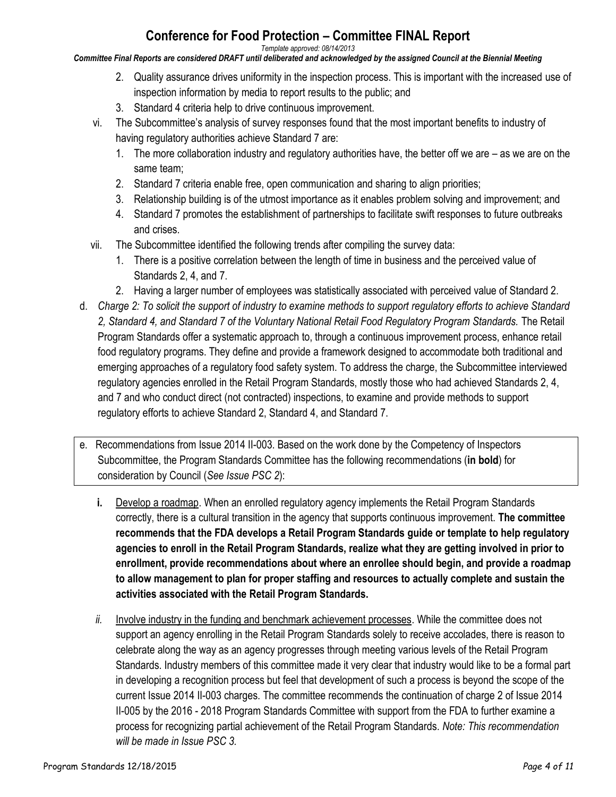*Template approved: 08/14/2013*

*Committee Final Reports are considered DRAFT until deliberated and acknowledged by the assigned Council at the Biennial Meeting*

- 2. Quality assurance drives uniformity in the inspection process. This is important with the increased use of inspection information by media to report results to the public; and
- 3. Standard 4 criteria help to drive continuous improvement.
- vi. The Subcommittee's analysis of survey responses found that the most important benefits to industry of having regulatory authorities achieve Standard 7 are:
	- 1. The more collaboration industry and regulatory authorities have, the better off we are as we are on the same team;
	- 2. Standard 7 criteria enable free, open communication and sharing to align priorities;
	- 3. Relationship building is of the utmost importance as it enables problem solving and improvement; and
	- 4. Standard 7 promotes the establishment of partnerships to facilitate swift responses to future outbreaks and crises.
- vii. The Subcommittee identified the following trends after compiling the survey data:
	- 1. There is a positive correlation between the length of time in business and the perceived value of Standards 2, 4, and 7.
	- 2. Having a larger number of employees was statistically associated with perceived value of Standard 2.
- d. *Charge 2: To solicit the support of industry to examine methods to support regulatory efforts to achieve Standard 2, Standard 4, and Standard 7 of the Voluntary National Retail Food Regulatory Program Standards.* The Retail Program Standards offer a systematic approach to, through a continuous improvement process, enhance retail food regulatory programs. They define and provide a framework designed to accommodate both traditional and emerging approaches of a regulatory food safety system. To address the charge, the Subcommittee interviewed regulatory agencies enrolled in the Retail Program Standards, mostly those who had achieved Standards 2, 4, and 7 and who conduct direct (not contracted) inspections, to examine and provide methods to support regulatory efforts to achieve Standard 2, Standard 4, and Standard 7.
- e. Recommendations from Issue 2014 II-003. Based on the work done by the Competency of Inspectors Subcommittee, the Program Standards Committee has the following recommendations (**in bold**) for consideration by Council (*See Issue PSC 2*):
	- **i.** Develop a roadmap. When an enrolled regulatory agency implements the Retail Program Standards correctly, there is a cultural transition in the agency that supports continuous improvement. **The committee recommends that the FDA develops a Retail Program Standards guide or template to help regulatory agencies to enroll in the Retail Program Standards, realize what they are getting involved in prior to enrollment, provide recommendations about where an enrollee should begin, and provide a roadmap to allow management to plan for proper staffing and resources to actually complete and sustain the activities associated with the Retail Program Standards.**
	- *ii.* Involve industry in the funding and benchmark achievement processes. While the committee does not support an agency enrolling in the Retail Program Standards solely to receive accolades, there is reason to celebrate along the way as an agency progresses through meeting various levels of the Retail Program Standards. Industry members of this committee made it very clear that industry would like to be a formal part in developing a recognition process but feel that development of such a process is beyond the scope of the current Issue 2014 II-003 charges. The committee recommends the continuation of charge 2 of Issue 2014 II-005 by the 2016 - 2018 Program Standards Committee with support from the FDA to further examine a process for recognizing partial achievement of the Retail Program Standards. *Note: This recommendation will be made in Issue PSC 3.*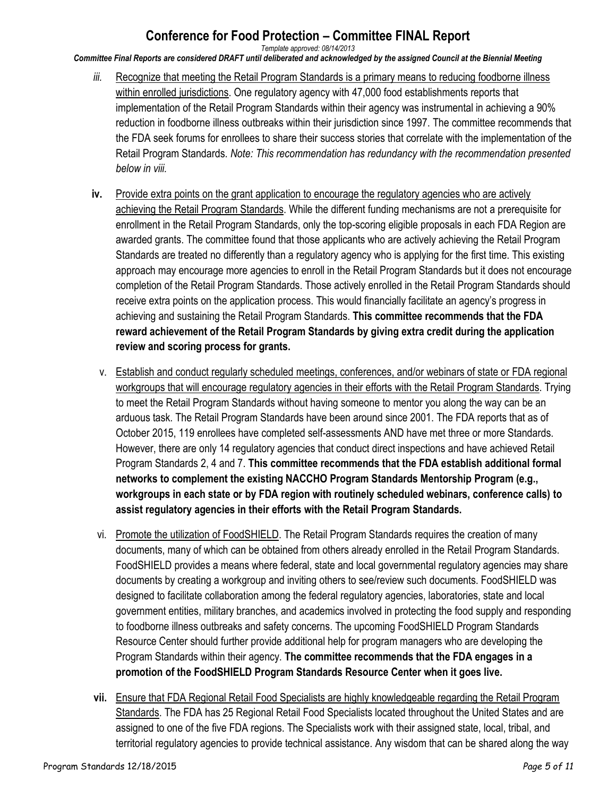*Template approved: 08/14/2013*

*Committee Final Reports are considered DRAFT until deliberated and acknowledged by the assigned Council at the Biennial Meeting*

- *iii.* Recognize that meeting the Retail Program Standards is a primary means to reducing foodborne illness within enrolled jurisdictions. One regulatory agency with 47,000 food establishments reports that implementation of the Retail Program Standards within their agency was instrumental in achieving a 90% reduction in foodborne illness outbreaks within their jurisdiction since 1997. The committee recommends that the FDA seek forums for enrollees to share their success stories that correlate with the implementation of the Retail Program Standards. *Note: This recommendation has redundancy with the recommendation presented below in viii.*
- **iv.** Provide extra points on the grant application to encourage the regulatory agencies who are actively achieving the Retail Program Standards. While the different funding mechanisms are not a prerequisite for enrollment in the Retail Program Standards, only the top-scoring eligible proposals in each FDA Region are awarded grants. The committee found that those applicants who are actively achieving the Retail Program Standards are treated no differently than a regulatory agency who is applying for the first time. This existing approach may encourage more agencies to enroll in the Retail Program Standards but it does not encourage completion of the Retail Program Standards. Those actively enrolled in the Retail Program Standards should receive extra points on the application process. This would financially facilitate an agency's progress in achieving and sustaining the Retail Program Standards. **This committee recommends that the FDA reward achievement of the Retail Program Standards by giving extra credit during the application review and scoring process for grants.**
	- v. Establish and conduct regularly scheduled meetings, conferences, and/or webinars of state or FDA regional workgroups that will encourage regulatory agencies in their efforts with the Retail Program Standards. Trying to meet the Retail Program Standards without having someone to mentor you along the way can be an arduous task. The Retail Program Standards have been around since 2001. The FDA reports that as of October 2015, 119 enrollees have completed self-assessments AND have met three or more Standards. However, there are only 14 regulatory agencies that conduct direct inspections and have achieved Retail Program Standards 2, 4 and 7. **This committee recommends that the FDA establish additional formal networks to complement the existing NACCHO Program Standards Mentorship Program (e.g., workgroups in each state or by FDA region with routinely scheduled webinars, conference calls) to assist regulatory agencies in their efforts with the Retail Program Standards.**
- vi. Promote the utilization of FoodSHIELD. The Retail Program Standards requires the creation of many documents, many of which can be obtained from others already enrolled in the Retail Program Standards. FoodSHIELD provides a means where federal, state and local governmental regulatory agencies may share documents by creating a workgroup and inviting others to see/review such documents. FoodSHIELD was designed to facilitate collaboration among the federal regulatory agencies, laboratories, state and local government entities, military branches, and academics involved in protecting the food supply and responding to foodborne illness outbreaks and safety concerns. The upcoming FoodSHIELD Program Standards Resource Center should further provide additional help for program managers who are developing the Program Standards within their agency. **The committee recommends that the FDA engages in a promotion of the FoodSHIELD Program Standards Resource Center when it goes live.**
- **vii.** Ensure that FDA Regional Retail Food Specialists are highly knowledgeable regarding the Retail Program Standards. The FDA has 25 Regional Retail Food Specialists located throughout the United States and are assigned to one of the five FDA regions. The Specialists work with their assigned state, local, tribal, and territorial regulatory agencies to provide technical assistance. Any wisdom that can be shared along the way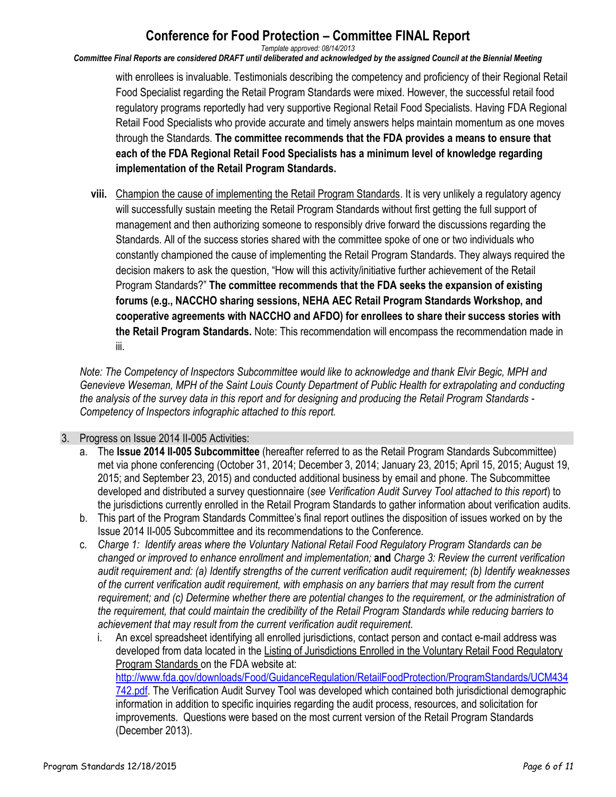*Template approved: 08/14/2013*

*Committee Final Reports are considered DRAFT until deliberated and acknowledged by the assigned Council at the Biennial Meeting*

with enrollees is invaluable. Testimonials describing the competency and proficiency of their Regional Retail Food Specialist regarding the Retail Program Standards were mixed. However, the successful retail food regulatory programs reportedly had very supportive Regional Retail Food Specialists. Having FDA Regional Retail Food Specialists who provide accurate and timely answers helps maintain momentum as one moves through the Standards. **The committee recommends that the FDA provides a means to ensure that each of the FDA Regional Retail Food Specialists has a minimum level of knowledge regarding implementation of the Retail Program Standards.**

**viii.** Champion the cause of implementing the Retail Program Standards. It is very unlikely a regulatory agency will successfully sustain meeting the Retail Program Standards without first getting the full support of management and then authorizing someone to responsibly drive forward the discussions regarding the Standards. All of the success stories shared with the committee spoke of one or two individuals who constantly championed the cause of implementing the Retail Program Standards. They always required the decision makers to ask the question, "How will this activity/initiative further achievement of the Retail Program Standards?" **The committee recommends that the FDA seeks the expansion of existing forums (e.g., NACCHO sharing sessions, NEHA AEC Retail Program Standards Workshop, and cooperative agreements with NACCHO and AFDO) for enrollees to share their success stories with the Retail Program Standards.** Note: This recommendation will encompass the recommendation made in iii.

*Note: The Competency of Inspectors Subcommittee would like to acknowledge and thank Elvir Begic, MPH and Genevieve Weseman, MPH of the Saint Louis County Department of Public Health for extrapolating and conducting the analysis of the survey data in this report and for designing and producing the Retail Program Standards - Competency of Inspectors infographic attached to this report.*

#### 3. Progress on Issue 2014 II-005 Activities:

- a. The **Issue 2014 II-005 Subcommittee** (hereafter referred to as the Retail Program Standards Subcommittee) met via phone conferencing (October 31, 2014; December 3, 2014; January 23, 2015; April 15, 2015; August 19, 2015; and September 23, 2015) and conducted additional business by email and phone. The Subcommittee developed and distributed a survey questionnaire (*see Verification Audit Survey Tool attached to this report*) to the jurisdictions currently enrolled in the Retail Program Standards to gather information about verification audits.
- b. This part of the Program Standards Committee's final report outlines the disposition of issues worked on by the Issue 2014 II-005 Subcommittee and its recommendations to the Conference.
- c. *Charge 1: Identify areas where the Voluntary National Retail Food Regulatory Program Standards can be changed or improved to enhance enrollment and implementation;* **and** *Charge 3: Review the current verification audit requirement and: (a) Identify strengths of the current verification audit requirement; (b) Identify weaknesses of the current verification audit requirement, with emphasis on any barriers that may result from the current requirement; and (c) Determine whether there are potential changes to the requirement, or the administration of the requirement, that could maintain the credibility of the Retail Program Standards while reducing barriers to achievement that may result from the current verification audit requirement.*
	- i. An excel spreadsheet identifying all enrolled jurisdictions, contact person and contact e-mail address was developed from data located in the Listing of Jurisdictions Enrolled in the Voluntary Retail Food Regulatory Program Standards on the FDA website at:

[http://www.fda.gov/downloads/Food/GuidanceRegulation/RetailFoodProtection/ProgramStandards/UCM434](http://www.fda.gov/downloads/Food/GuidanceRegulation/RetailFoodProtection/ProgramStandards/UCM434742.pdf) [742.pdf.](http://www.fda.gov/downloads/Food/GuidanceRegulation/RetailFoodProtection/ProgramStandards/UCM434742.pdf) The Verification Audit Survey Tool was developed which contained both jurisdictional demographic information in addition to specific inquiries regarding the audit process, resources, and solicitation for improvements. Questions were based on the most current version of the Retail Program Standards (December 2013).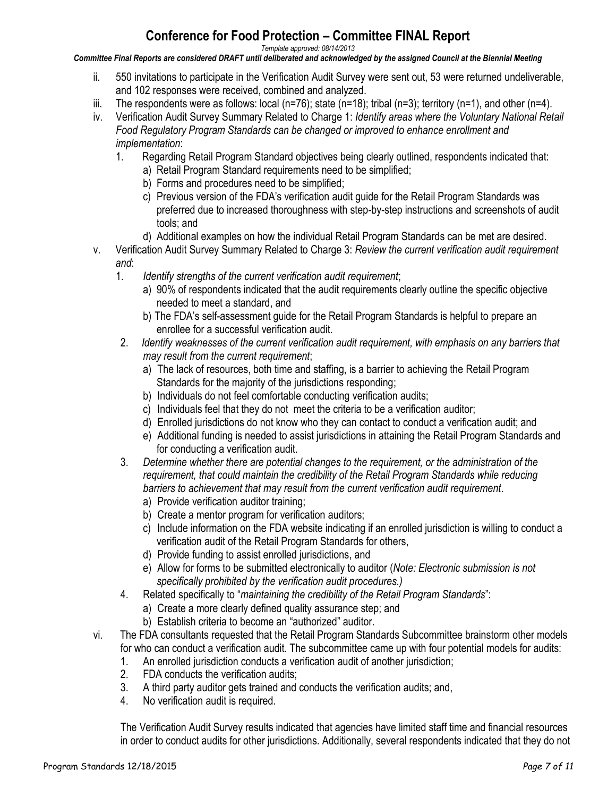*Template approved: 08/14/2013*

*Committee Final Reports are considered DRAFT until deliberated and acknowledged by the assigned Council at the Biennial Meeting*

- ii. 550 invitations to participate in the Verification Audit Survey were sent out, 53 were returned undeliverable, and 102 responses were received, combined and analyzed.
- iii. The respondents were as follows: local (n=76); state (n=18); tribal (n=3); territory (n=1), and other (n=4).
- iv. Verification Audit Survey Summary Related to Charge 1: *Identify areas where the Voluntary National Retail Food Regulatory Program Standards can be changed or improved to enhance enrollment and implementation*:
	- 1. Regarding Retail Program Standard objectives being clearly outlined, respondents indicated that:
		- a) Retail Program Standard requirements need to be simplified;
		- b) Forms and procedures need to be simplified;
		- c) Previous version of the FDA's verification audit guide for the Retail Program Standards was preferred due to increased thoroughness with step-by-step instructions and screenshots of audit tools; and
		- d) Additional examples on how the individual Retail Program Standards can be met are desired.
- v. Verification Audit Survey Summary Related to Charge 3: *Review the current verification audit requirement and*:
	- 1. *Identify strengths of the current verification audit requirement*;
		- a) 90% of respondents indicated that the audit requirements clearly outline the specific objective needed to meet a standard, and
		- b) The FDA's self-assessment guide for the Retail Program Standards is helpful to prepare an enrollee for a successful verification audit.
	- 2. *Identify weaknesses of the current verification audit requirement, with emphasis on any barriers that may result from the current requirement*;
		- a) The lack of resources, both time and staffing, is a barrier to achieving the Retail Program Standards for the majority of the jurisdictions responding;
		- b) Individuals do not feel comfortable conducting verification audits;
		- c) Individuals feel that they do not meet the criteria to be a verification auditor;
		- d) Enrolled jurisdictions do not know who they can contact to conduct a verification audit; and
		- e) Additional funding is needed to assist jurisdictions in attaining the Retail Program Standards and for conducting a verification audit.
	- 3. *Determine whether there are potential changes to the requirement, or the administration of the requirement, that could maintain the credibility of the Retail Program Standards while reducing barriers to achievement that may result from the current verification audit requirement*.
		- a) Provide verification auditor training;
		- b) Create a mentor program for verification auditors;
		- c) Include information on the FDA website indicating if an enrolled jurisdiction is willing to conduct a verification audit of the Retail Program Standards for others,
		- d) Provide funding to assist enrolled jurisdictions, and
		- e) Allow for forms to be submitted electronically to auditor (*Note: Electronic submission is not specifically prohibited by the verification audit procedures.)*
	- 4. Related specifically to "*maintaining the credibility of the Retail Program Standards*":
		- a) Create a more clearly defined quality assurance step; and
		- b) Establish criteria to become an "authorized" auditor.
- vi. The FDA consultants requested that the Retail Program Standards Subcommittee brainstorm other models for who can conduct a verification audit. The subcommittee came up with four potential models for audits:
	- 1. An enrolled jurisdiction conducts a verification audit of another jurisdiction;
	- 2. FDA conducts the verification audits;
	- 3. A third party auditor gets trained and conducts the verification audits; and,
	- 4. No verification audit is required.

The Verification Audit Survey results indicated that agencies have limited staff time and financial resources in order to conduct audits for other jurisdictions. Additionally, several respondents indicated that they do not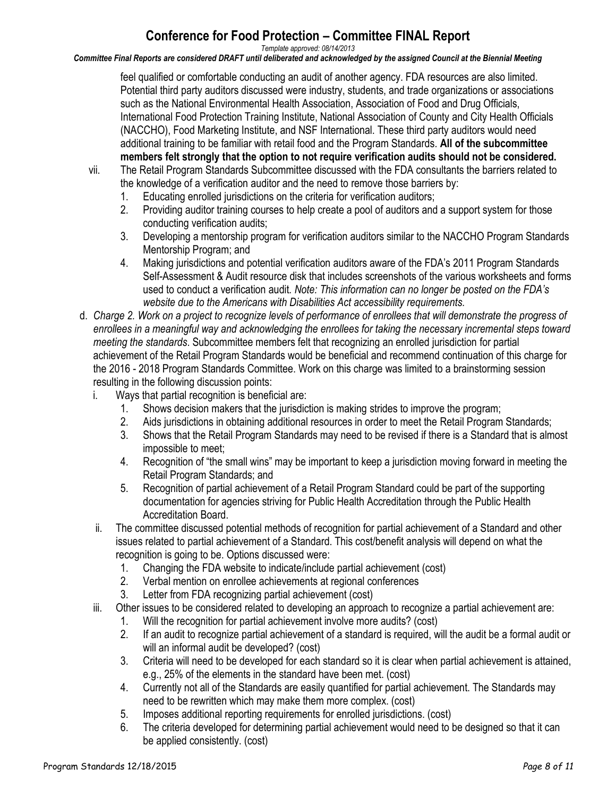*Template approved: 08/14/2013*

*Committee Final Reports are considered DRAFT until deliberated and acknowledged by the assigned Council at the Biennial Meeting*

feel qualified or comfortable conducting an audit of another agency. FDA resources are also limited. Potential third party auditors discussed were industry, students, and trade organizations or associations such as the National Environmental Health Association, Association of Food and Drug Officials, International Food Protection Training Institute, National Association of County and City Health Officials (NACCHO), Food Marketing Institute, and NSF International. These third party auditors would need additional training to be familiar with retail food and the Program Standards. **All of the subcommittee members felt strongly that the option to not require verification audits should not be considered.**

- vii. The Retail Program Standards Subcommittee discussed with the FDA consultants the barriers related to the knowledge of a verification auditor and the need to remove those barriers by:
	- 1. Educating enrolled jurisdictions on the criteria for verification auditors;
	- 2. Providing auditor training courses to help create a pool of auditors and a support system for those conducting verification audits;
	- 3. Developing a mentorship program for verification auditors similar to the NACCHO Program Standards Mentorship Program; and
	- 4. Making jurisdictions and potential verification auditors aware of the FDA's 2011 Program Standards Self-Assessment & Audit resource disk that includes screenshots of the various worksheets and forms used to conduct a verification audit*. Note: This information can no longer be posted on the FDA's website due to the Americans with Disabilities Act accessibility requirements.*
- d. *Charge 2. Work on a project to recognize levels of performance of enrollees that will demonstrate the progress of enrollees in a meaningful way and acknowledging the enrollees for taking the necessary incremental steps toward meeting the standards*. Subcommittee members felt that recognizing an enrolled jurisdiction for partial achievement of the Retail Program Standards would be beneficial and recommend continuation of this charge for the 2016 - 2018 Program Standards Committee. Work on this charge was limited to a brainstorming session resulting in the following discussion points:
	- i. Ways that partial recognition is beneficial are:
		- 1. Shows decision makers that the jurisdiction is making strides to improve the program;
		- 2. Aids jurisdictions in obtaining additional resources in order to meet the Retail Program Standards;
		- 3. Shows that the Retail Program Standards may need to be revised if there is a Standard that is almost impossible to meet;
		- 4. Recognition of "the small wins" may be important to keep a jurisdiction moving forward in meeting the Retail Program Standards; and
		- 5. Recognition of partial achievement of a Retail Program Standard could be part of the supporting documentation for agencies striving for Public Health Accreditation through the Public Health Accreditation Board.
	- ii. The committee discussed potential methods of recognition for partial achievement of a Standard and other issues related to partial achievement of a Standard. This cost/benefit analysis will depend on what the recognition is going to be. Options discussed were:
		- 1. Changing the FDA website to indicate/include partial achievement (cost)
		- 2. Verbal mention on enrollee achievements at regional conferences
		- 3. Letter from FDA recognizing partial achievement (cost)
	- iii. Other issues to be considered related to developing an approach to recognize a partial achievement are:
		- 1. Will the recognition for partial achievement involve more audits? (cost)
		- 2. If an audit to recognize partial achievement of a standard is required, will the audit be a formal audit or will an informal audit be developed? (cost)
		- 3. Criteria will need to be developed for each standard so it is clear when partial achievement is attained, e.g., 25% of the elements in the standard have been met. (cost)
		- 4. Currently not all of the Standards are easily quantified for partial achievement. The Standards may need to be rewritten which may make them more complex. (cost)
		- 5. Imposes additional reporting requirements for enrolled jurisdictions. (cost)
		- 6. The criteria developed for determining partial achievement would need to be designed so that it can be applied consistently. (cost)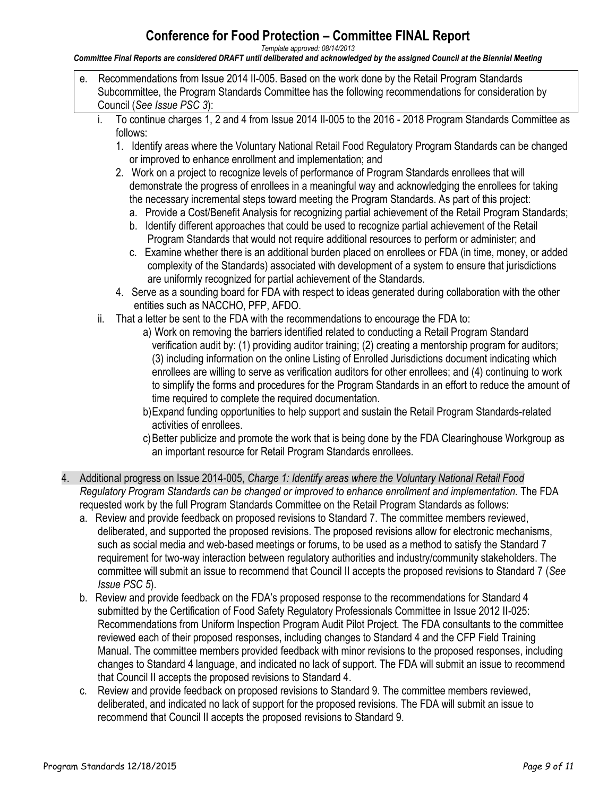*Template approved: 08/14/2013*

*Committee Final Reports are considered DRAFT until deliberated and acknowledged by the assigned Council at the Biennial Meeting*

- e. Recommendations from Issue 2014 II-005. Based on the work done by the Retail Program Standards Subcommittee, the Program Standards Committee has the following recommendations for consideration by Council (*See Issue PSC 3*):
	- i. To continue charges 1, 2 and 4 from Issue 2014 II-005 to the 2016 2018 Program Standards Committee as follows:
		- 1. Identify areas where the Voluntary National Retail Food Regulatory Program Standards can be changed or improved to enhance enrollment and implementation; and
		- 2. Work on a project to recognize levels of performance of Program Standards enrollees that will demonstrate the progress of enrollees in a meaningful way and acknowledging the enrollees for taking the necessary incremental steps toward meeting the Program Standards. As part of this project:
			- a. Provide a Cost/Benefit Analysis for recognizing partial achievement of the Retail Program Standards;
			- b. Identify different approaches that could be used to recognize partial achievement of the Retail Program Standards that would not require additional resources to perform or administer; and
			- c. Examine whether there is an additional burden placed on enrollees or FDA (in time, money, or added complexity of the Standards) associated with development of a system to ensure that jurisdictions are uniformly recognized for partial achievement of the Standards.
		- 4. Serve as a sounding board for FDA with respect to ideas generated during collaboration with the other entities such as NACCHO, PFP, AFDO.
	- ii. That a letter be sent to the FDA with the recommendations to encourage the FDA to:
		- a) Work on removing the barriers identified related to conducting a Retail Program Standard verification audit by: (1) providing auditor training; (2) creating a mentorship program for auditors; (3) including information on the online Listing of Enrolled Jurisdictions document indicating which enrollees are willing to serve as verification auditors for other enrollees; and (4) continuing to work to simplify the forms and procedures for the Program Standards in an effort to reduce the amount of time required to complete the required documentation.
		- b)Expand funding opportunities to help support and sustain the Retail Program Standards-related activities of enrollees.
		- c) Better publicize and promote the work that is being done by the FDA Clearinghouse Workgroup as an important resource for Retail Program Standards enrollees.
- 4. Additional progress on Issue 2014-005, *Charge 1: Identify areas where the Voluntary National Retail Food Regulatory Program Standards can be changed or improved to enhance enrollment and implementation.* The FDA requested work by the full Program Standards Committee on the Retail Program Standards as follows:
	- a. Review and provide feedback on proposed revisions to Standard 7. The committee members reviewed, deliberated, and supported the proposed revisions. The proposed revisions allow for electronic mechanisms, such as social media and web-based meetings or forums, to be used as a method to satisfy the Standard 7 requirement for two-way interaction between regulatory authorities and industry/community stakeholders. The committee will submit an issue to recommend that Council II accepts the proposed revisions to Standard 7 (*See Issue PSC 5*).
	- b. Review and provide feedback on the FDA's proposed response to the recommendations for Standard 4 submitted by the Certification of Food Safety Regulatory Professionals Committee in Issue 2012 II-025: Recommendations from Uniform Inspection Program Audit Pilot Project. The FDA consultants to the committee reviewed each of their proposed responses, including changes to Standard 4 and the CFP Field Training Manual. The committee members provided feedback with minor revisions to the proposed responses, including changes to Standard 4 language, and indicated no lack of support. The FDA will submit an issue to recommend that Council II accepts the proposed revisions to Standard 4.
	- c. Review and provide feedback on proposed revisions to Standard 9. The committee members reviewed, deliberated, and indicated no lack of support for the proposed revisions. The FDA will submit an issue to recommend that Council II accepts the proposed revisions to Standard 9.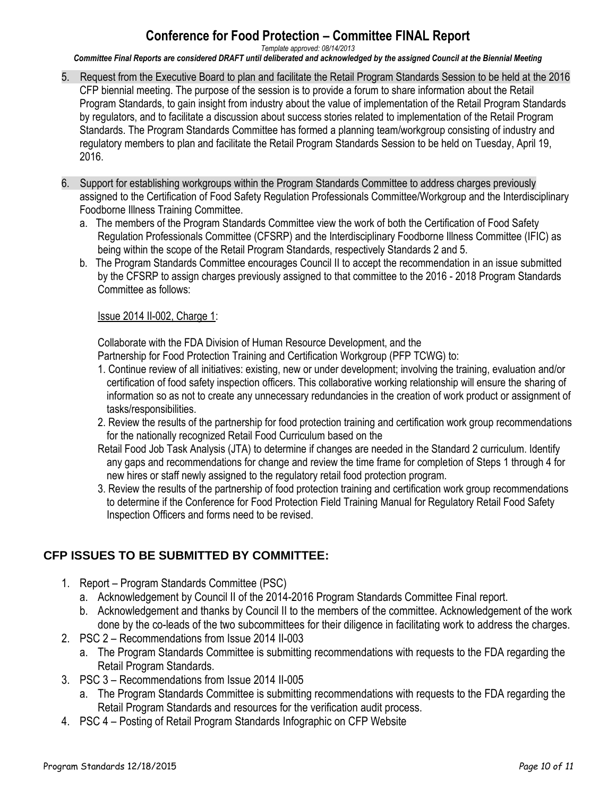*Template approved: 08/14/2013*

*Committee Final Reports are considered DRAFT until deliberated and acknowledged by the assigned Council at the Biennial Meeting*

- 5. Request from the Executive Board to plan and facilitate the Retail Program Standards Session to be held at the 2016 CFP biennial meeting. The purpose of the session is to provide a forum to share information about the Retail Program Standards, to gain insight from industry about the value of implementation of the Retail Program Standards by regulators, and to facilitate a discussion about success stories related to implementation of the Retail Program Standards. The Program Standards Committee has formed a planning team/workgroup consisting of industry and regulatory members to plan and facilitate the Retail Program Standards Session to be held on Tuesday, April 19, 2016.
- 6. Support for establishing workgroups within the Program Standards Committee to address charges previously assigned to the Certification of Food Safety Regulation Professionals Committee/Workgroup and the Interdisciplinary Foodborne Illness Training Committee.
	- a. The members of the Program Standards Committee view the work of both the Certification of Food Safety Regulation Professionals Committee (CFSRP) and the Interdisciplinary Foodborne Illness Committee (IFIC) as being within the scope of the Retail Program Standards, respectively Standards 2 and 5.
	- b. The Program Standards Committee encourages Council II to accept the recommendation in an issue submitted by the CFSRP to assign charges previously assigned to that committee to the 2016 - 2018 Program Standards Committee as follows:

#### Issue 2014 II-002, Charge 1:

Collaborate with the FDA Division of Human Resource Development, and the

Partnership for Food Protection Training and Certification Workgroup (PFP TCWG) to:

- 1. Continue review of all initiatives: existing, new or under development; involving the training, evaluation and/or certification of food safety inspection officers. This collaborative working relationship will ensure the sharing of information so as not to create any unnecessary redundancies in the creation of work product or assignment of tasks/responsibilities.
- 2. Review the results of the partnership for food protection training and certification work group recommendations for the nationally recognized Retail Food Curriculum based on the
- Retail Food Job Task Analysis (JTA) to determine if changes are needed in the Standard 2 curriculum. Identify any gaps and recommendations for change and review the time frame for completion of Steps 1 through 4 for new hires or staff newly assigned to the regulatory retail food protection program.
- 3. Review the results of the partnership of food protection training and certification work group recommendations to determine if the Conference for Food Protection Field Training Manual for Regulatory Retail Food Safety Inspection Officers and forms need to be revised.

## **CFP ISSUES TO BE SUBMITTED BY COMMITTEE:**

- 1. Report Program Standards Committee (PSC)
	- a. Acknowledgement by Council II of the 2014-2016 Program Standards Committee Final report.
	- b. Acknowledgement and thanks by Council II to the members of the committee. Acknowledgement of the work done by the co-leads of the two subcommittees for their diligence in facilitating work to address the charges.
- 2. PSC 2 Recommendations from Issue 2014 II-003
	- a. The Program Standards Committee is submitting recommendations with requests to the FDA regarding the Retail Program Standards.
- 3. PSC 3 Recommendations from Issue 2014 II-005
	- a. The Program Standards Committee is submitting recommendations with requests to the FDA regarding the Retail Program Standards and resources for the verification audit process.
- 4. PSC 4 Posting of Retail Program Standards Infographic on CFP Website